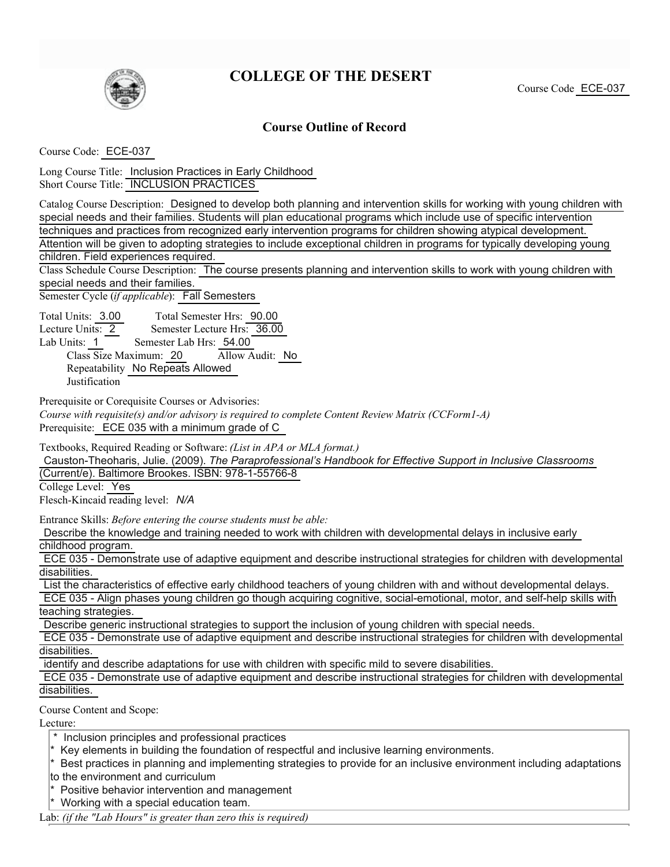

## **COLLEGE OF THE DESERT**

## **Course Outline of Record**

1. Course Code: ECE-037

Long Course Title: Inclusion Practices in Early Childhood b. Short Course Title: INCLUSION PRACTICES

Catalog Course Description: Designed to develop both planning and intervention skills for working with young children with special needs and their families. Students will plan educational programs which include use of specific intervention techniques and practices from recognized early intervention programs for children showing atypical development. Attention will be given to adopting strategies to include exceptional children in programs for typically developing young children. Field experiences required.

Class Schedule Course Description: The course presents planning and intervention skills to work with young children with special needs and their families.

Semester Cycle *(if applicable)*: Fall Semesters

Total Units: 3.00 Total Semester Hrs: 90.00

Lecture Units: 2 Semester Lecture Hrs: 36.00 Lab Units: 1 Semester Lab Hrs: 54.00

Class Size Maximum: 20 Allow Audit: No Repeatability No Repeats Allowed

**Justification** 

Prerequisite or Corequisite Courses or Advisories:

*Course with requisite(s) and/or advisory is required to complete Content Review Matrix (CCForm1-A)* Prerequisite: ECE 035 with a minimum grade of C

Textbooks, Required Reading or Software: *(List in APA or MLA format.)*

Causton-Theoharis, Julie. (2009). *The Paraprofessional's Handbook for Effective Support in Inclusive Classrooms* (Current/e). Baltimore Brookes. ISBN: 978-1-55766-8

College Level: Yes

Flesch-Kincaid reading level: *N/A*

Entrance Skills: *Before entering the course students must be able:*

Describe the knowledge and training needed to work with children with developmental delays in inclusive early childhood program.

ECE 035 - Demonstrate use of adaptive equipment and describe instructional strategies for children with developmental disabilities.

List the characteristics of effective early childhood teachers of young children with and without developmental delays.

ECE 035 - Align phases young children go though acquiring cognitive, social-emotional, motor, and self-help skills with teaching strategies.

Describe generic instructional strategies to support the inclusion of young children with special needs.

ECE 035 - Demonstrate use of adaptive equipment and describe instructional strategies for children with developmental disabilities.

identify and describe adaptations for use with children with specific mild to severe disabilities.

ECE 035 - Demonstrate use of adaptive equipment and describe instructional strategies for children with developmental disabilities.

Course Content and Scope:

Lecture:

- \* Inclusion principles and professional practices
- \* Key elements in building the foundation of respectful and inclusive learning environments.
- \* Best practices in planning and implementing strategies to provide for an inclusive environment including adaptations

to the environment and curriculum

- \* Positive behavior intervention and management
- \* Working with a special education team.

Lab: *(if the "Lab Hours" is greater than zero this is required)*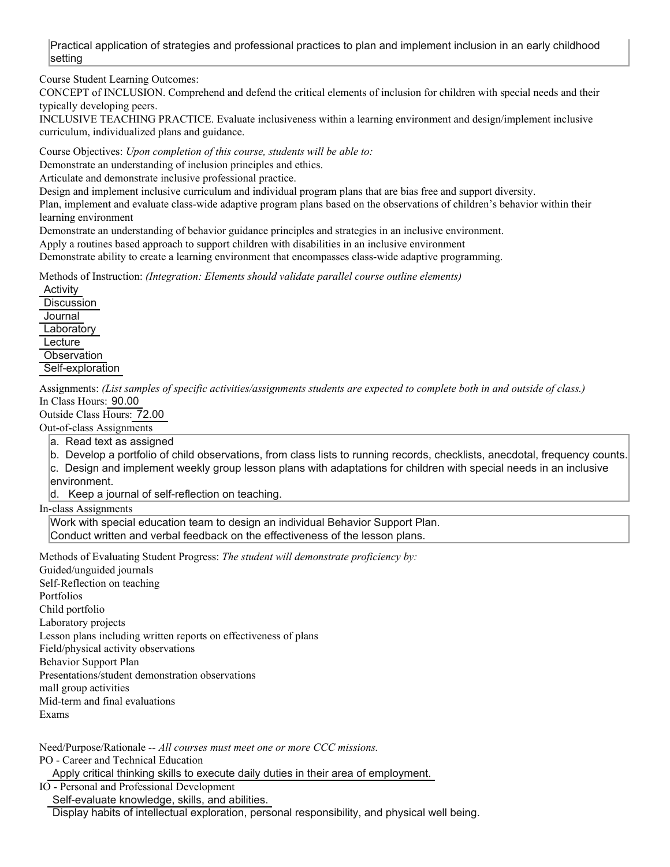Practical application of strategies and professional practices to plan and implement inclusion in an early childhood setting

Course Student Learning Outcomes:

CONCEPT of INCLUSION. Comprehend and defend the critical elements of inclusion for children with special needs and their typically developing peers.

INCLUSIVE TEACHING PRACTICE. Evaluate inclusiveness within a learning environment and design/implement inclusive curriculum, individualized plans and guidance.

Course Objectives: *Upon completion of this course, students will be able to:*

Demonstrate an understanding of inclusion principles and ethics.

Articulate and demonstrate inclusive professional practice.

Design and implement inclusive curriculum and individual program plans that are bias free and support diversity.

Plan, implement and evaluate class-wide adaptive program plans based on the observations of children's behavior within their learning environment

Demonstrate an understanding of behavior guidance principles and strategies in an inclusive environment.

f. Apply a routines based approach to support children with disabilities in an inclusive environment

Demonstrate ability to create a learning environment that encompasses class-wide adaptive programming.

Methods of Instruction: *(Integration: Elements should validate parallel course outline elements)*

**Activity Discussion Journal** Laboratory **Lecture Observation** Self-exploration

Assignments: *(List samples of specific activities/assignments students are expected to complete both in and outside of class.)* In Class Hours: 90.00

Outside Class Hours: 72.00 Out-of-class Assignments

a. Read text as assigned

b. Develop a portfolio of child observations, from class lists to running records, checklists, anecdotal, frequency counts. c. Design and implement weekly group lesson plans with adaptations for children with special needs in an inclusive

environment.

d. Keep a journal of self-reflection on teaching.

In-class Assignments

Work with special education team to design an individual Behavior Support Plan. Conduct written and verbal feedback on the effectiveness of the lesson plans.

Methods of Evaluating Student Progress: *The student will demonstrate proficiency by:* Guided/unguided journals Self-Reflection on teaching Portfolios Child portfolio Laboratory projects Lesson plans including written reports on effectiveness of plans Field/physical activity observations Behavior Support Plan Presentations/student demonstration observations mall group activities Mid-term and final evaluations Exams

Need/Purpose/Rationale -- *All courses must meet one or more CCC missions.*

PO - Career and Technical Education

Apply critical thinking skills to execute daily duties in their area of employment.

IO - Personal and Professional Development

Self-evaluate knowledge, skills, and abilities.

Display habits of intellectual exploration, personal responsibility, and physical well being.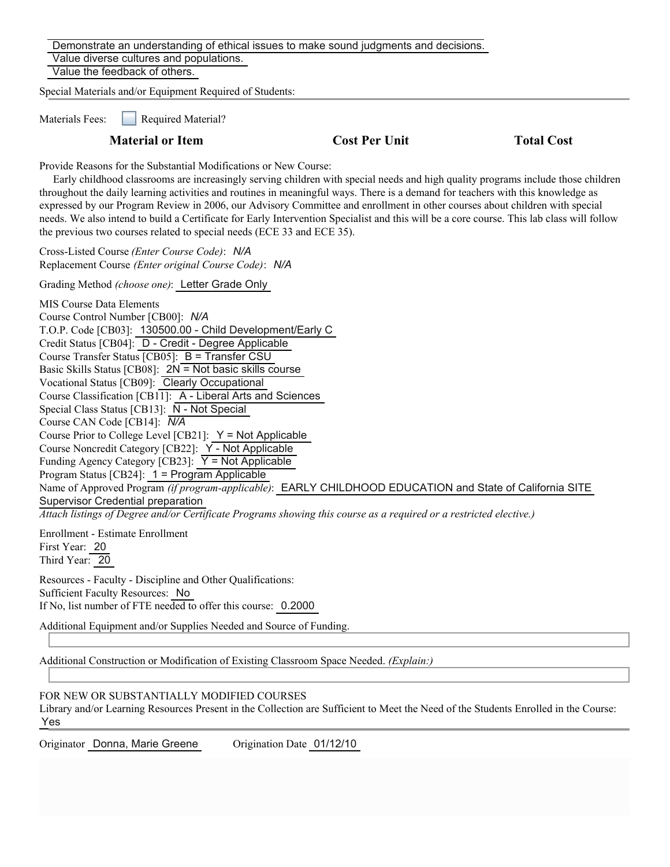Demonstrate an understanding of ethical issues to make sound judgments and decisions. Value diverse cultures and populations. Value the feedback of others.

Special Materials and/or Equipment Required of Students:

Materials Fees: **Required Material?** 

## **Material or Item Cost Per Unit Total Cost Per Unit Total Cost Per Unit Cost Per Cost Per Cost Per Cost Per Cost Per Cost Per Cost Per Cost Per Cost Per Cost Per Cost Per Cost Per Cost Per Cost Per Cost Per Cost Per Cost P**

Provide Reasons for the Substantial Modifications or New Course:

 Early childhood classrooms are increasingly serving children with special needs and high quality programs include those children throughout the daily learning activities and routines in meaningful ways. There is a demand for teachers with this knowledge as expressed by our Program Review in 2006, our Advisory Committee and enrollment in other courses about children with special needs. We also intend to build a Certificate for Early Intervention Specialist and this will be a core course. This lab class will follow the previous two courses related to special needs (ECE 33 and ECE 35).

a. Cross-Listed Course *(Enter Course Code)*: *N/A* b. Replacement Course *(Enter original Course Code)*: *N/A*

19. Grading Method *(choose one)*: Letter Grade Only

MIS Course Data Elements a. Course Control Number [CB00]: *N/A* b. T.O.P. Code [CB03]: 130500.00 - Child Development/Early C Credit Status [CB04]: D - Credit - Degree Applicable Course Transfer Status  $[CB05]$ : B = Transfer CSU Basic Skills Status [CB08]:  $2N = Not basic skills course$ Vocational Status [CB09]: Clearly Occupational Course Classification [CB11]: A - Liberal Arts and Sciences Special Class Status [CB13]: N - Not Special i. Course CAN Code [CB14]: *N/A* Course Prior to College Level  $[CB21]$ :  $Y = Not Applicable$ Course Noncredit Category [CB22]: Y - Not Applicable Funding Agency Category [CB23]:  $\overline{Y}$  = Not Applicable Program Status [CB24]: 1 = Program Applicable Name of Approved Program *(if program-applicable)*: EARLY CHILDHOOD EDUCATION and State of California SITE Supervisor Credential preparation *Attach listings of Degree and/or Certificate Programs showing this course as a required or a restricted elective.)*

Enrollment - Estimate Enrollment First Year: 20 Third Year: 20

Resources - Faculty - Discipline and Other Qualifications: Sufficient Faculty Resources: No b. If No, list number of FTE needed to offer this course: 0.2000

Additional Equipment and/or Supplies Needed and Source of Funding.

24. Additional Construction or Modification of Existing Classroom Space Needed. *(Explain:)*

## FOR NEW OR SUBSTANTIALLY MODIFIED COURSES

Library and/or Learning Resources Present in the Collection are Sufficient to Meet the Need of the Students Enrolled in the Course: Yes

Originator Donna, Marie Greene Origination Date 01/12/10